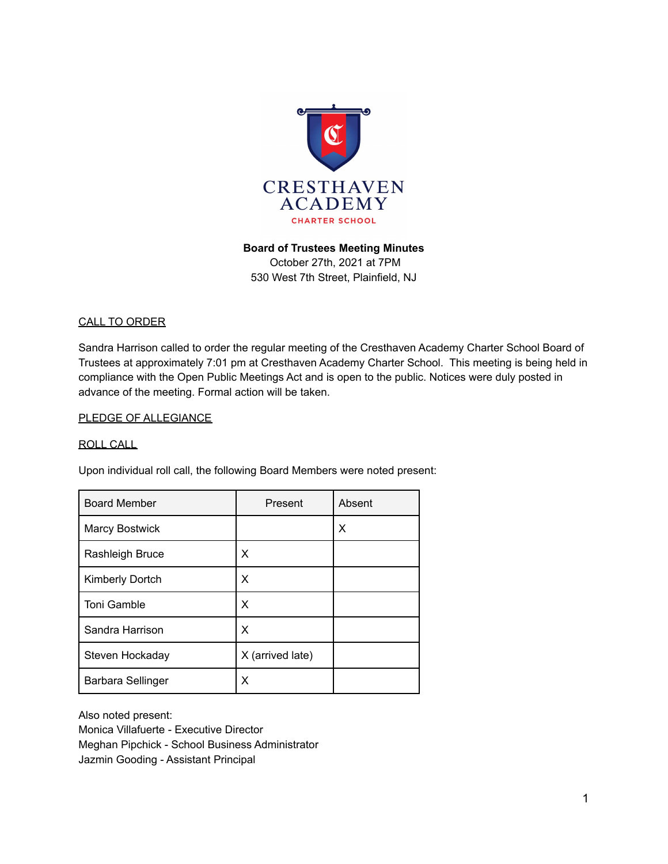

### **Board of Trustees Meeting Minutes**

October 27th, 2021 at 7PM 530 West 7th Street, Plainfield, NJ

### CALL TO ORDER

Sandra Harrison called to order the regular meeting of the Cresthaven Academy Charter School Board of Trustees at approximately 7:01 pm at Cresthaven Academy Charter School. This meeting is being held in compliance with the Open Public Meetings Act and is open to the public. Notices were duly posted in advance of the meeting. Formal action will be taken.

#### PLEDGE OF ALLEGIANCE

#### ROLL CALL

Upon individual roll call, the following Board Members were noted present:

| <b>Board Member</b>   | Present          | Absent |
|-----------------------|------------------|--------|
| <b>Marcy Bostwick</b> |                  | х      |
| Rashleigh Bruce       | x                |        |
| Kimberly Dortch       | x                |        |
| Toni Gamble           | X                |        |
| Sandra Harrison       | X                |        |
| Steven Hockaday       | X (arrived late) |        |
| Barbara Sellinger     | х                |        |

Also noted present: Monica Villafuerte - Executive Director Meghan Pipchick - School Business Administrator Jazmin Gooding - Assistant Principal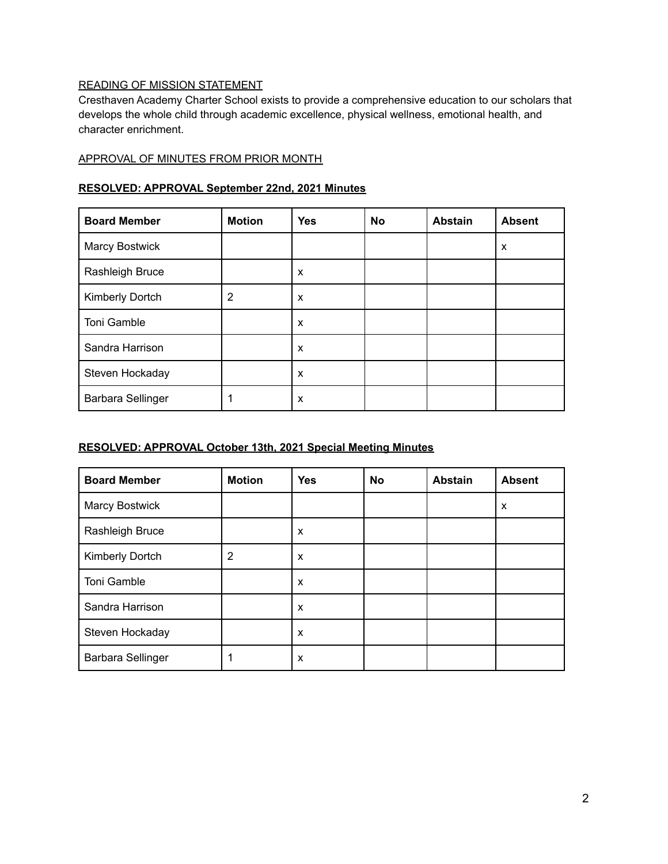# READING OF MISSION STATEMENT

Cresthaven Academy Charter School exists to provide a comprehensive education to our scholars that develops the whole child through academic excellence, physical wellness, emotional health, and character enrichment.

### APPROVAL OF MINUTES FROM PRIOR MONTH

### **RESOLVED: APPROVAL September 22nd, 2021 Minutes**

| <b>Board Member</b> | <b>Motion</b> | <b>Yes</b> | <b>No</b> | <b>Abstain</b> | <b>Absent</b> |
|---------------------|---------------|------------|-----------|----------------|---------------|
| Marcy Bostwick      |               |            |           |                | X             |
| Rashleigh Bruce     |               | X          |           |                |               |
| Kimberly Dortch     | 2             | X          |           |                |               |
| Toni Gamble         |               | X          |           |                |               |
| Sandra Harrison     |               | X          |           |                |               |
| Steven Hockaday     |               | X          |           |                |               |
| Barbara Sellinger   |               | х          |           |                |               |

### **RESOLVED: APPROVAL October 13th, 2021 Special Meeting Minutes**

| <b>Board Member</b>   | <b>Motion</b> | <b>Yes</b> | <b>No</b> | <b>Abstain</b> | <b>Absent</b> |
|-----------------------|---------------|------------|-----------|----------------|---------------|
| <b>Marcy Bostwick</b> |               |            |           |                | X             |
| Rashleigh Bruce       |               | X          |           |                |               |
| Kimberly Dortch       | 2             | X          |           |                |               |
| Toni Gamble           |               | X          |           |                |               |
| Sandra Harrison       |               | X          |           |                |               |
| Steven Hockaday       |               | X          |           |                |               |
| Barbara Sellinger     |               | X          |           |                |               |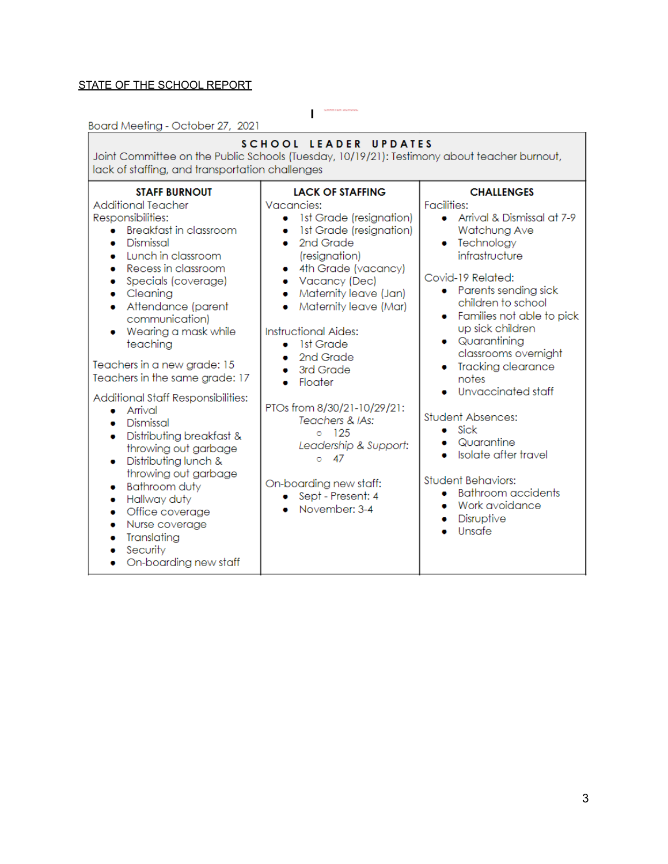# STATE OF THE SCHOOL REPORT

Board Meeting - October 27, 2021

| <b>SCHOOL LEADER UPDATES</b><br>Joint Committee on the Public Schools (Tuesday, 10/19/21): Testimony about teacher burnout,<br>lack of staffing, and transportation challenges                                                                                                                                                                                                                                                                                                                                                                                                                                                                                                                                                                                  |                                                                                                                                                                                                                                                                                                                                                                                                                                                                                                                                                                    |                                                                                                                                                                                                                                                                                                                                                                                                                                                                                                                                                                                            |  |  |  |  |  |
|-----------------------------------------------------------------------------------------------------------------------------------------------------------------------------------------------------------------------------------------------------------------------------------------------------------------------------------------------------------------------------------------------------------------------------------------------------------------------------------------------------------------------------------------------------------------------------------------------------------------------------------------------------------------------------------------------------------------------------------------------------------------|--------------------------------------------------------------------------------------------------------------------------------------------------------------------------------------------------------------------------------------------------------------------------------------------------------------------------------------------------------------------------------------------------------------------------------------------------------------------------------------------------------------------------------------------------------------------|--------------------------------------------------------------------------------------------------------------------------------------------------------------------------------------------------------------------------------------------------------------------------------------------------------------------------------------------------------------------------------------------------------------------------------------------------------------------------------------------------------------------------------------------------------------------------------------------|--|--|--|--|--|
| <b>STAFF BURNOUT</b><br><b>Additional Teacher</b><br>Responsibilities:<br><b>Breakfast in classroom</b><br>$\bullet$<br>Dismissal<br>۰<br>Lunch in classroom<br>۰<br>Recess in classroom<br>۰<br>Specials (coverage)<br>Cleaning<br>$\bullet$<br>Attendance (parent<br>۰<br>communication)<br>Wearing a mask while<br>teaching<br>Teachers in a new grade: 15<br>Teachers in the same grade: 17<br>Additional Staff Responsibilities:<br>Arrival<br>$\bullet$<br>Dismissal<br>۰<br>Distributing breakfast &<br>۰<br>throwing out garbage<br>Distributing lunch &<br>۰<br>throwing out garbage<br><b>Bathroom duty</b><br>۰<br>Hallway duty<br>۰<br>Office coverage<br>$\bullet$<br>Nurse coverage<br>۰<br>Translating<br>Security<br>۰<br>On-boarding new staff | <b>LACK OF STAFFING</b><br>Vacancies:<br>• Ist Grade (resignation)<br>1st Grade (resignation)<br>۰<br>2nd Grade<br>$\bullet$<br>(resignation)<br>4th Grade (vacancy)<br>۰<br>Vacancy (Dec)<br>۰<br>Maternity leave (Jan)<br>$\bullet$<br>Maternity leave (Mar)<br>$\bullet$<br><b>Instructional Aides:</b><br>- 1st Grade<br>۰<br>2nd Grade<br>3rd Grade<br>$\bullet$<br>Floater<br>$\bullet$<br>PTOs from 8/30/21-10/29/21:<br>Teachers & IAs:<br>$0 \t125$<br>Leadership & Support:<br>47<br>Ō<br>On-boarding new staff:<br>• Sept - Present: 4<br>November: 3-4 | <b>CHALLENGES</b><br><b>Facilities:</b><br>• Arrival & Dismissal at 7-9<br>Watchung Ave<br>Technology<br>infrastructure<br>Covid-19 Related:<br>• Parents sending sick<br>children to school<br>Families not able to pick<br>up sick children<br>• Quarantining<br>classrooms overnight<br><b>Tracking clearance</b><br>notes<br>Unvaccinated staff<br><b>Student Absences:</b><br>Sick<br>$\bullet$<br>Quarantine<br>۰<br>Isolate after travel<br>$\bullet$<br><b>Student Behaviors:</b><br><b>Bathroom</b> accidents<br>$\bullet$<br>Work avoidance<br>$\bullet$<br>Disruptive<br>Unsafe |  |  |  |  |  |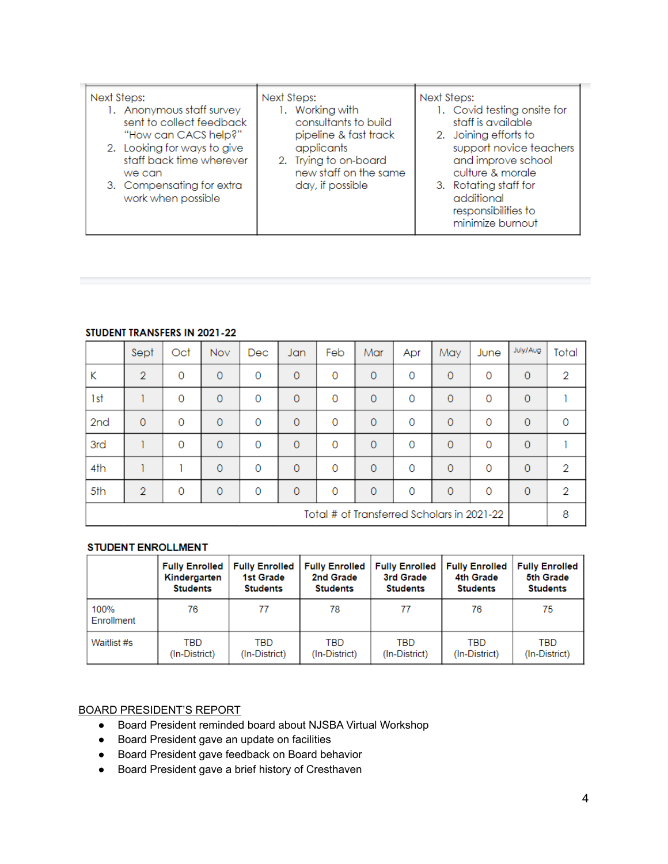| Next Steps:<br>1. Anonymous staff survey<br>sent to collect feedback<br>"How can CACS help?"<br>2. Looking for ways to give<br>staff back time wherever<br>we can<br>3. Compensating for extra<br>work when possible | Next Steps:<br>1. Working with<br>consultants to build<br>pipeline & fast track<br>applicants<br>2. Trying to on-board<br>new staff on the same<br>day, if possible | Next Steps:<br>1. Covid testing onsite for<br>staff is available<br>2. Joining efforts to<br>support novice teachers<br>and improve school<br>culture & morale<br>3. Rotating staff for<br>additional<br>responsibilities to<br>minimize burnout |
|----------------------------------------------------------------------------------------------------------------------------------------------------------------------------------------------------------------------|---------------------------------------------------------------------------------------------------------------------------------------------------------------------|--------------------------------------------------------------------------------------------------------------------------------------------------------------------------------------------------------------------------------------------------|
|----------------------------------------------------------------------------------------------------------------------------------------------------------------------------------------------------------------------|---------------------------------------------------------------------------------------------------------------------------------------------------------------------|--------------------------------------------------------------------------------------------------------------------------------------------------------------------------------------------------------------------------------------------------|

#### STUDENT TRANSFERS IN 2021-22

|                                            | Sept           | Oct      | Nov            | Dec.     | Jan            | Feb      | Mar            | Apr      | May            | June           | July/Aug       | Total |
|--------------------------------------------|----------------|----------|----------------|----------|----------------|----------|----------------|----------|----------------|----------------|----------------|-------|
| Κ                                          | $\overline{2}$ | $\Omega$ | $\circ$        | $\Omega$ | $\circ$        | $\Omega$ | $\Omega$       | 0        | $\circ$        | $\Omega$       | $\circ$        | 2     |
| 1st                                        |                | $\Omega$ | $\overline{O}$ | $\Omega$ | $\overline{0}$ | $\Omega$ | $\Omega$       | $\Omega$ | $\circ$        | $\overline{0}$ | $\circ$        |       |
| 2 <sub>nd</sub>                            | $\circ$        | 0        | $\circ$        | $\circ$  | $\circ$        | $\Omega$ | $\overline{0}$ | 0        | $\circ$        | 0              | $\circ$        | 0     |
| 3rd                                        |                | $\Omega$ | $\overline{0}$ | $\Omega$ | $\overline{O}$ | $\Omega$ | $\Omega$       | $\Omega$ | $\circ$        | $\Omega$       | $\overline{0}$ |       |
| 4th                                        |                |          | $\overline{0}$ | $\Omega$ | $\overline{0}$ | $\Omega$ | $\Omega$       | 0        | $\overline{0}$ | 0              | $\overline{O}$ | 2     |
| 5th                                        | $\overline{2}$ | $\Omega$ | $\overline{0}$ | $\Omega$ | $\Omega$       | $\Omega$ | $\Omega$       | $\Omega$ | $\circ$        | $\Omega$       | $\overline{0}$ | 2     |
| Total # of Transferred Scholars in 2021-22 |                |          |                |          |                |          |                | 8        |                |                |                |       |

### **STUDENT ENROLLMENT**

|                    | <b>Fully Enrolled</b> | <b>Fully Enrolled</b> | <b>Fully Enrolled</b> | <b>Fully Enrolled</b> | <b>Fully Enrolled</b> | <b>Fully Enrolled</b> |
|--------------------|-----------------------|-----------------------|-----------------------|-----------------------|-----------------------|-----------------------|
|                    | Kindergarten          | <b>1st Grade</b>      | 2nd Grade             | 3rd Grade             | 4th Grade             | 5th Grade             |
|                    | <b>Students</b>       | <b>Students</b>       | <b>Students</b>       | <b>Students</b>       | <b>Students</b>       | <b>Students</b>       |
| 100%<br>Enrollment | 76                    | 77                    | 78                    | 77                    | 76                    | 75                    |
| Waitlist #s        | TBD                   | TBD                   | TBD                   | TBD                   | TBD                   | TBD                   |
|                    | (In-District)         | (In-District)         | (In-District)         | (In-District)         | (In-District)         | (In-District)         |

# BOARD PRESIDENT'S REPORT

- Board President reminded board about NJSBA Virtual Workshop
- Board President gave an update on facilities
- Board President gave feedback on Board behavior
- Board President gave a brief history of Cresthaven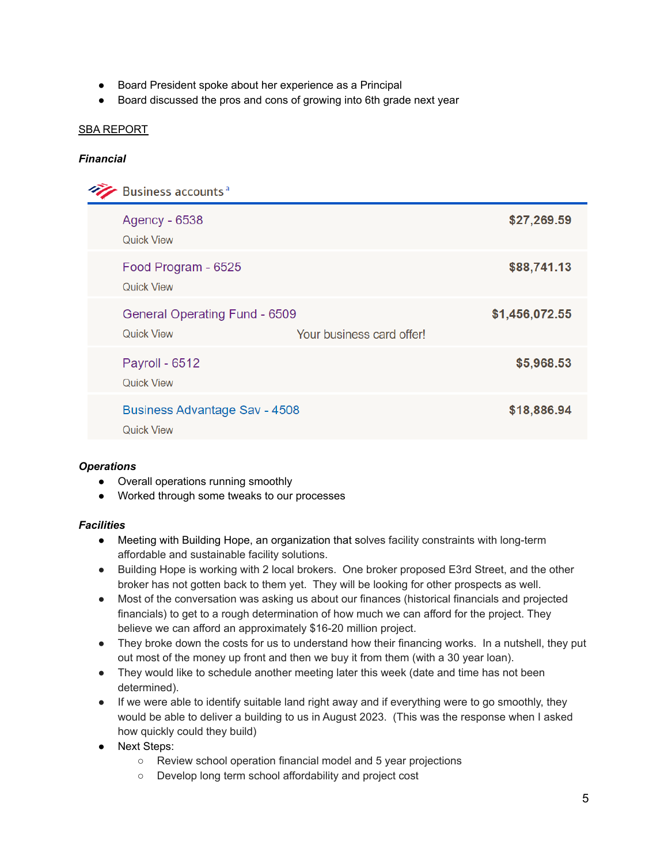- Board President spoke about her experience as a Principal
- Board discussed the pros and cons of growing into 6th grade next year

### SBA REPORT

### *Financial*

| Business accounts <sup>a</sup>                            |                           |                |
|-----------------------------------------------------------|---------------------------|----------------|
| Agency - 6538<br><b>Quick View</b>                        |                           | \$27,269.59    |
| Food Program - 6525<br><b>Quick View</b>                  |                           | \$88,741.13    |
| General Operating Fund - 6509<br><b>Quick View</b>        | Your business card offer! | \$1,456,072.55 |
| Payroll - 6512<br><b>Quick View</b>                       |                           | \$5,968.53     |
| <b>Business Advantage Sav - 4508</b><br><b>Quick View</b> |                           | \$18,886.94    |

### *Operations*

- Overall operations running smoothly
- Worked through some tweaks to our processes

### *Facilities*

- Meeting with Building Hope, an organization that solves facility constraints with long-term affordable and sustainable facility solutions.
- Building Hope is working with 2 local brokers. One broker proposed E3rd Street, and the other broker has not gotten back to them yet. They will be looking for other prospects as well.
- Most of the conversation was asking us about our finances (historical financials and projected financials) to get to a rough determination of how much we can afford for the project. They believe we can afford an approximately \$16-20 million project.
- They broke down the costs for us to understand how their financing works. In a nutshell, they put out most of the money up front and then we buy it from them (with a 30 year loan).
- They would like to schedule another meeting later this week (date and time has not been determined).
- If we were able to identify suitable land right away and if everything were to go smoothly, they would be able to deliver a building to us in August 2023. (This was the response when I asked how quickly could they build)
- Next Steps:
	- Review school operation financial model and 5 year projections
	- Develop long term school affordability and project cost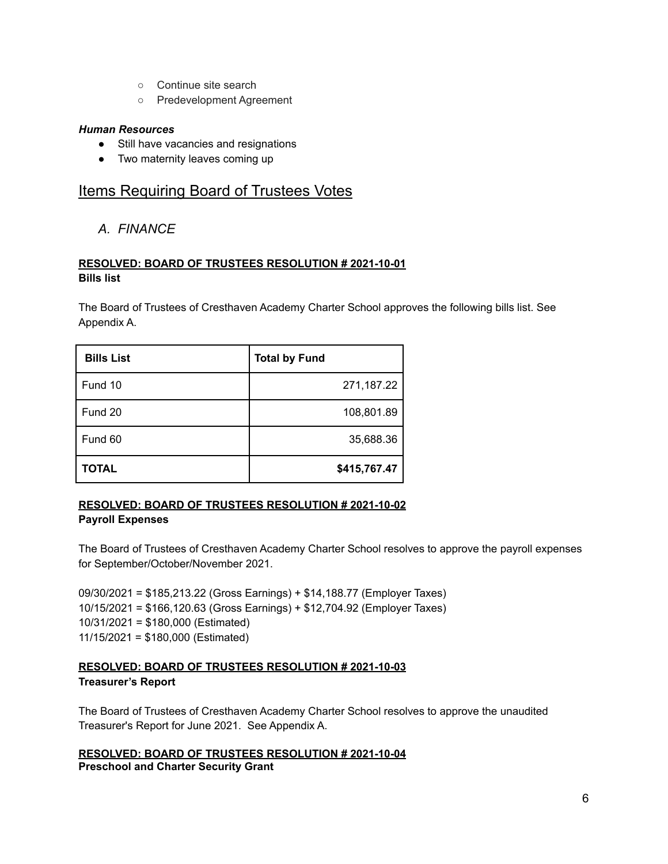- Continue site search
- Predevelopment Agreement

### *Human Resources*

- Still have vacancies and resignations
- Two maternity leaves coming up

# **Items Requiring Board of Trustees Votes**

*A. FINANCE*

# **RESOLVED: BOARD OF TRUSTEES RESOLUTION # 2021-10-01 Bills list**

The Board of Trustees of Cresthaven Academy Charter School approves the following bills list. See Appendix A.

| <b>Bills List</b> | <b>Total by Fund</b> |
|-------------------|----------------------|
| Fund 10           | 271,187.22           |
| Fund 20           | 108,801.89           |
| Fund 60           | 35,688.36            |
| <b>TOTAL</b>      | \$415,767.47         |

# **RESOLVED: BOARD OF TRUSTEES RESOLUTION # 2021-10-02 Payroll Expenses**

The Board of Trustees of Cresthaven Academy Charter School resolves to approve the payroll expenses for September/October/November 2021.

09/30/2021 = \$185,213.22 (Gross Earnings) + \$14,188.77 (Employer Taxes) 10/15/2021 = \$166,120.63 (Gross Earnings) + \$12,704.92 (Employer Taxes) 10/31/2021 = \$180,000 (Estimated) 11/15/2021 = \$180,000 (Estimated)

# **RESOLVED: BOARD OF TRUSTEES RESOLUTION # 2021-10-03 Treasurer's Report**

The Board of Trustees of Cresthaven Academy Charter School resolves to approve the unaudited Treasurer's Report for June 2021. See Appendix A.

### **RESOLVED: BOARD OF TRUSTEES RESOLUTION # 2021-10-04 Preschool and Charter Security Grant**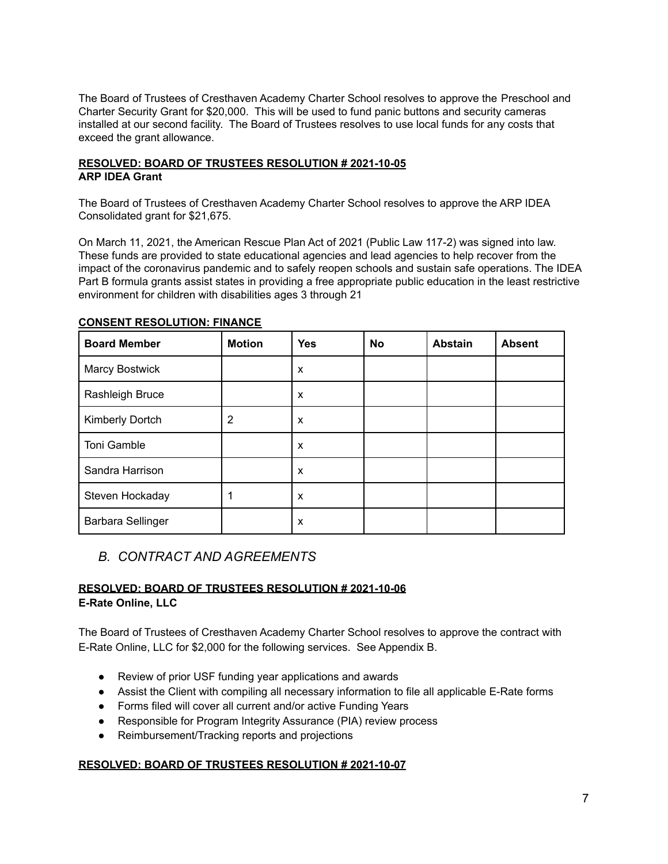The Board of Trustees of Cresthaven Academy Charter School resolves to approve the Preschool and Charter Security Grant for \$20,000. This will be used to fund panic buttons and security cameras installed at our second facility. The Board of Trustees resolves to use local funds for any costs that exceed the grant allowance.

### **RESOLVED: BOARD OF TRUSTEES RESOLUTION # 2021-10-05 ARP IDEA Grant**

The Board of Trustees of Cresthaven Academy Charter School resolves to approve the ARP IDEA Consolidated grant for \$21,675.

On March 11, 2021, the American Rescue Plan Act of 2021 (Public Law 117-2) was signed into law. These funds are provided to state educational agencies and lead agencies to help recover from the impact of the coronavirus pandemic and to safely reopen schools and sustain safe operations. The IDEA Part B formula grants assist states in providing a free appropriate public education in the least restrictive environment for children with disabilities ages 3 through 21

| <b>Board Member</b> | <b>Motion</b> | <b>Yes</b> | <b>No</b> | <b>Abstain</b> | <b>Absent</b> |
|---------------------|---------------|------------|-----------|----------------|---------------|
| Marcy Bostwick      |               | X          |           |                |               |
| Rashleigh Bruce     |               | X          |           |                |               |
| Kimberly Dortch     | 2             | X          |           |                |               |
| Toni Gamble         |               | X          |           |                |               |
| Sandra Harrison     |               | X          |           |                |               |
| Steven Hockaday     |               | X          |           |                |               |
| Barbara Sellinger   |               | X          |           |                |               |

### **CONSENT RESOLUTION: FINANCE**

# *B. CONTRACT AND AGREEMENTS*

### **RESOLVED: BOARD OF TRUSTEES RESOLUTION # 2021-10-06 E-Rate Online, LLC**

The Board of Trustees of Cresthaven Academy Charter School resolves to approve the contract with E-Rate Online, LLC for \$2,000 for the following services. See Appendix B.

- Review of prior USF funding year applications and awards
- Assist the Client with compiling all necessary information to file all applicable E-Rate forms
- Forms filed will cover all current and/or active Funding Years
- Responsible for Program Integrity Assurance (PIA) review process
- Reimbursement/Tracking reports and projections

### **RESOLVED: BOARD OF TRUSTEES RESOLUTION # 2021-10-07**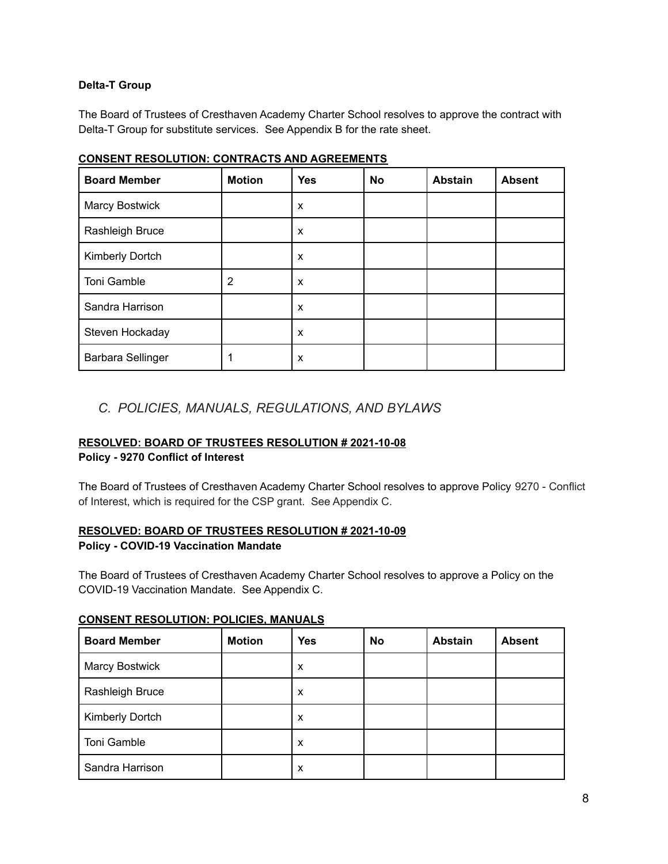### **Delta-T Group**

The Board of Trustees of Cresthaven Academy Charter School resolves to approve the contract with Delta-T Group for substitute services. See Appendix B for the rate sheet.

| <b>Board Member</b>      | <b>Motion</b> | <b>Yes</b>                | <b>No</b> | <b>Abstain</b> | <b>Absent</b> |
|--------------------------|---------------|---------------------------|-----------|----------------|---------------|
| Marcy Bostwick           |               | $\boldsymbol{\mathsf{x}}$ |           |                |               |
| Rashleigh Bruce          |               | $\boldsymbol{\mathsf{x}}$ |           |                |               |
| Kimberly Dortch          |               | $\boldsymbol{\mathsf{x}}$ |           |                |               |
| Toni Gamble              | 2             | X                         |           |                |               |
| Sandra Harrison          |               | $\boldsymbol{\mathsf{x}}$ |           |                |               |
| Steven Hockaday          |               | $\boldsymbol{\mathsf{x}}$ |           |                |               |
| <b>Barbara Sellinger</b> |               | X                         |           |                |               |

### **CONSENT RESOLUTION: CONTRACTS AND AGREEMENTS**

# *C. POLICIES, MANUALS, REGULATIONS, AND BYLAWS*

### **RESOLVED: BOARD OF TRUSTEES RESOLUTION # 2021-10-08**

### **Policy - 9270 Conflict of Interest**

The Board of Trustees of Cresthaven Academy Charter School resolves to approve Policy 9270 - Conflict of Interest, which is required for the CSP grant. See Appendix C.

# **RESOLVED: BOARD OF TRUSTEES RESOLUTION # 2021-10-09**

### **Policy - COVID-19 Vaccination Mandate**

The Board of Trustees of Cresthaven Academy Charter School resolves to approve a Policy on the COVID-19 Vaccination Mandate. See Appendix C.

| <b>Board Member</b> | <b>Motion</b> | <b>Yes</b> | No | <b>Abstain</b> | <b>Absent</b> |
|---------------------|---------------|------------|----|----------------|---------------|
| Marcy Bostwick      |               | X          |    |                |               |
| Rashleigh Bruce     |               | X          |    |                |               |
| Kimberly Dortch     |               | X          |    |                |               |
| Toni Gamble         |               | X          |    |                |               |
| Sandra Harrison     |               | X          |    |                |               |

#### **CONSENT RESOLUTION: POLICIES, MANUALS**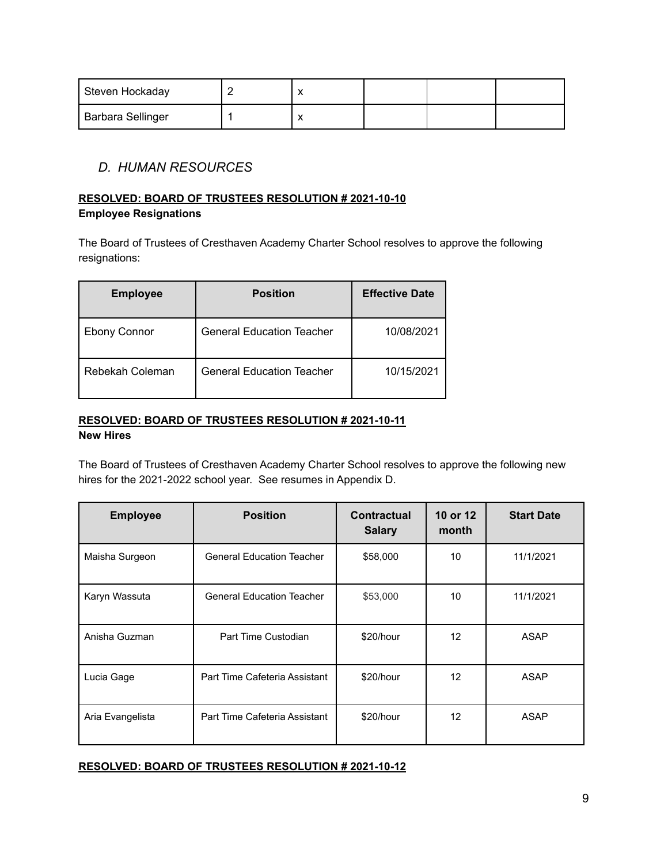| Steven Hockaday   |  |  |  |
|-------------------|--|--|--|
| Barbara Sellinger |  |  |  |

# *D. HUMAN RESOURCES*

# **RESOLVED: BOARD OF TRUSTEES RESOLUTION # 2021-10-10**

**Employee Resignations**

The Board of Trustees of Cresthaven Academy Charter School resolves to approve the following resignations:

| <b>Employee</b> | <b>Position</b>                  | <b>Effective Date</b> |
|-----------------|----------------------------------|-----------------------|
| Ebony Connor    | <b>General Education Teacher</b> | 10/08/2021            |
| Rebekah Coleman | <b>General Education Teacher</b> | 10/15/2021            |

# **RESOLVED: BOARD OF TRUSTEES RESOLUTION # 2021-10-11 New Hires**

The Board of Trustees of Cresthaven Academy Charter School resolves to approve the following new hires for the 2021-2022 school year. See resumes in Appendix D.

| <b>Employee</b>  | <b>Position</b>                  | Contractual<br><b>Salary</b> | 10 or 12<br>month | <b>Start Date</b> |
|------------------|----------------------------------|------------------------------|-------------------|-------------------|
| Maisha Surgeon   | <b>General Education Teacher</b> | \$58,000                     | 10                | 11/1/2021         |
| Karyn Wassuta    | <b>General Education Teacher</b> | \$53,000                     | 10                | 11/1/2021         |
| Anisha Guzman    | Part Time Custodian              | \$20/hour                    | $12 \overline{ }$ | ASAP              |
| Lucia Gage       | Part Time Cafeteria Assistant    | \$20/hour                    | 12                | ASAP              |
| Aria Evangelista | Part Time Cafeteria Assistant    | \$20/hour                    | 12 <sup>2</sup>   | ASAP              |

### **RESOLVED: BOARD OF TRUSTEES RESOLUTION # 2021-10-12**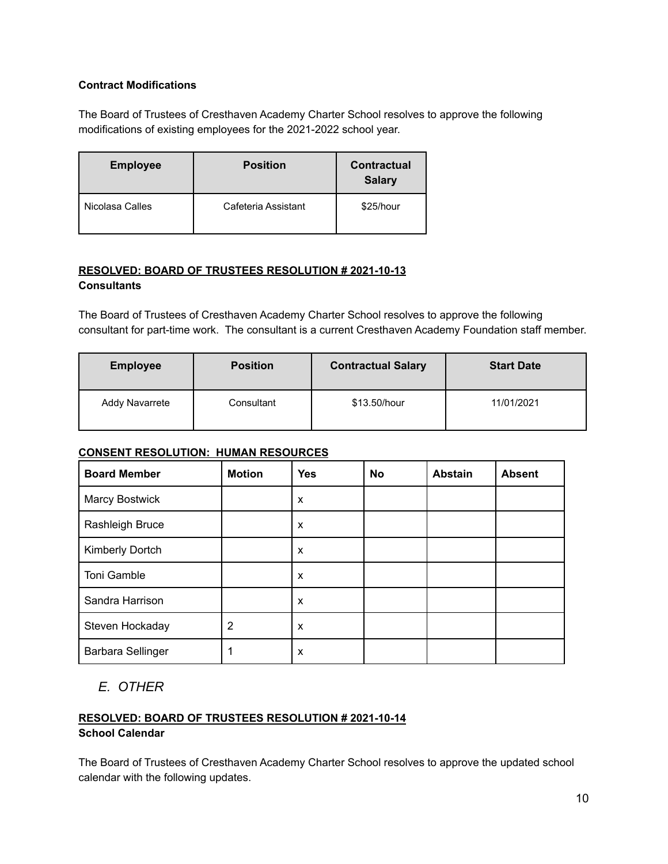# **Contract Modifications**

The Board of Trustees of Cresthaven Academy Charter School resolves to approve the following modifications of existing employees for the 2021-2022 school year.

| <b>Employee</b> | <b>Position</b>     | <b>Contractual</b><br><b>Salary</b> |
|-----------------|---------------------|-------------------------------------|
| Nicolasa Calles | Cafeteria Assistant | \$25/hour                           |

### **RESOLVED: BOARD OF TRUSTEES RESOLUTION # 2021-10-13 Consultants**

The Board of Trustees of Cresthaven Academy Charter School resolves to approve the following consultant for part-time work. The consultant is a current Cresthaven Academy Foundation staff member.

| <b>Position</b><br><b>Employee</b> |            | <b>Contractual Salary</b> | <b>Start Date</b> |
|------------------------------------|------------|---------------------------|-------------------|
| <b>Addy Navarrete</b>              | Consultant | \$13.50/hour              | 11/01/2021        |

# **CONSENT RESOLUTION: HUMAN RESOURCES**

| <b>Board Member</b>      | <b>Motion</b> | <b>Yes</b> | <b>No</b> | <b>Abstain</b> | <b>Absent</b> |
|--------------------------|---------------|------------|-----------|----------------|---------------|
| Marcy Bostwick           |               | x          |           |                |               |
| Rashleigh Bruce          |               | X          |           |                |               |
| Kimberly Dortch          |               | X          |           |                |               |
| <b>Toni Gamble</b>       |               | X          |           |                |               |
| Sandra Harrison          |               | X          |           |                |               |
| Steven Hockaday          | 2             | X          |           |                |               |
| <b>Barbara Sellinger</b> |               | X          |           |                |               |

# *E. OTHER*

#### **RESOLVED: BOARD OF TRUSTEES RESOLUTION # 2021-10-14 School Calendar**

The Board of Trustees of Cresthaven Academy Charter School resolves to approve the updated school calendar with the following updates.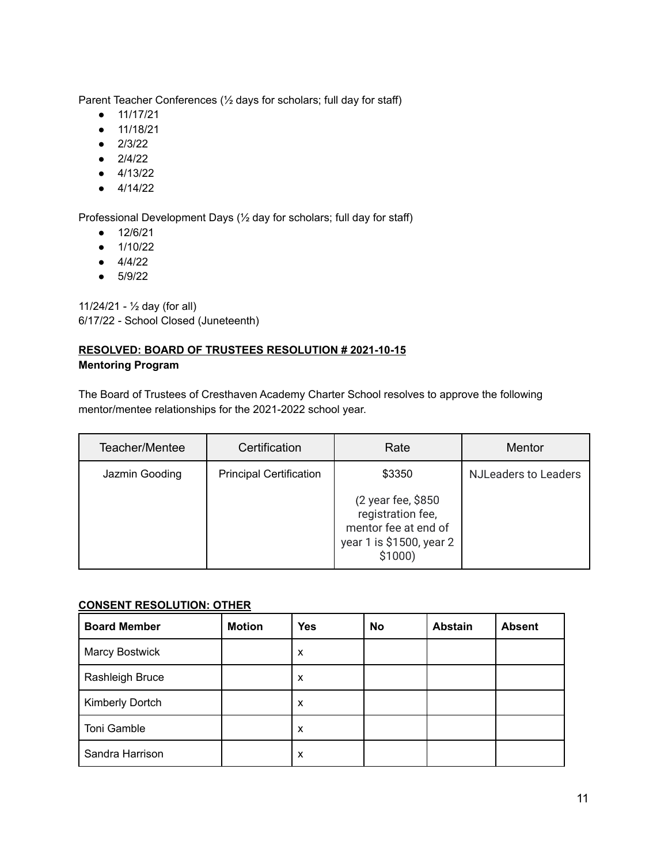Parent Teacher Conferences (½ days for scholars; full day for staff)

- 11/17/21
- 11/18/21
- 2/3/22
- $2/4/22$
- 4/13/22
- $4/14/22$

Professional Development Days (½ day for scholars; full day for staff)

- 12/6/21
- 1/10/22
- $4/4/22$
- 5/9/22

11/24/21 - ½ day (for all) 6/17/22 - School Closed (Juneteenth)

### **RESOLVED: BOARD OF TRUSTEES RESOLUTION # 2021-10-15 Mentoring Program**

The Board of Trustees of Cresthaven Academy Charter School resolves to approve the following mentor/mentee relationships for the 2021-2022 school year.

| Teacher/Mentee | Certification                  | Rate                                                        | Mentor                      |
|----------------|--------------------------------|-------------------------------------------------------------|-----------------------------|
| Jazmin Gooding | <b>Principal Certification</b> | \$3350<br>(2 year fee, \$850<br>registration fee,           | <b>NJLeaders to Leaders</b> |
|                |                                | mentor fee at end of<br>year 1 is \$1500, year 2<br>\$1000) |                             |

### **CONSENT RESOLUTION: OTHER**

| <b>Board Member</b>   | <b>Motion</b> | <b>Yes</b> | <b>No</b> | <b>Abstain</b> | <b>Absent</b> |
|-----------------------|---------------|------------|-----------|----------------|---------------|
| <b>Marcy Bostwick</b> |               | X          |           |                |               |
| Rashleigh Bruce       |               | X          |           |                |               |
| Kimberly Dortch       |               | X          |           |                |               |
| Toni Gamble           |               | X          |           |                |               |
| Sandra Harrison       |               | X          |           |                |               |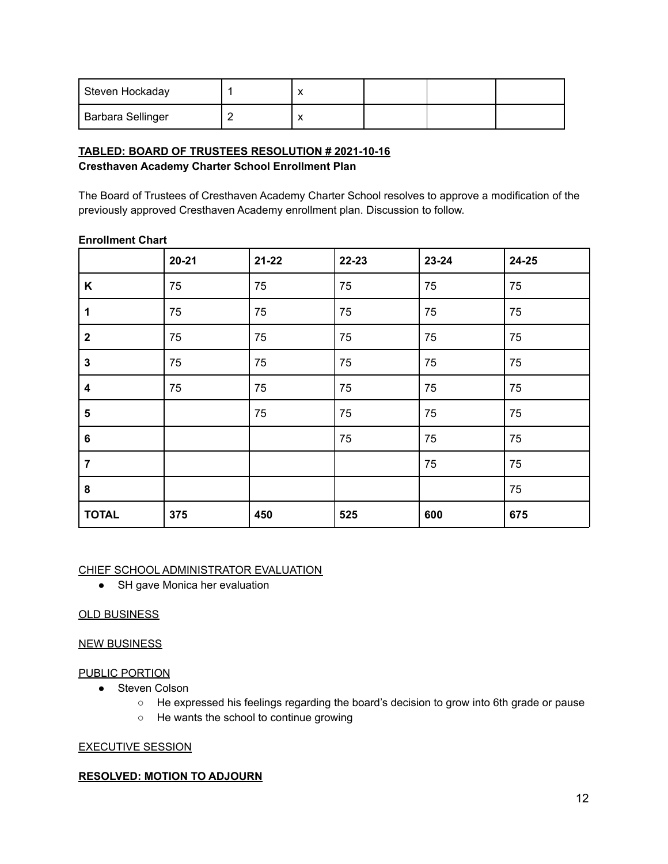| Steven Hockaday          |  |  |  |
|--------------------------|--|--|--|
| <b>Barbara Sellinger</b> |  |  |  |

### **TABLED: BOARD OF TRUSTEES RESOLUTION # 2021-10-16 Cresthaven Academy Charter School Enrollment Plan**

The Board of Trustees of Cresthaven Academy Charter School resolves to approve a modification of the previously approved Cresthaven Academy enrollment plan. Discussion to follow.

|                         | $20 - 21$ | $21 - 22$ | 22-23 | 23-24 | 24-25 |
|-------------------------|-----------|-----------|-------|-------|-------|
| Κ                       | 75        | 75        | 75    | 75    | 75    |
| 1                       | 75        | 75        | 75    | 75    | 75    |
| $\mathbf{2}$            | 75        | 75        | 75    | 75    | 75    |
| $\mathbf 3$             | 75        | 75        | 75    | 75    | 75    |
| 4                       | 75        | 75        | 75    | 75    | 75    |
| $\overline{\mathbf{5}}$ |           | 75        | 75    | 75    | 75    |
| $\bf 6$                 |           |           | 75    | 75    | 75    |
| $\overline{7}$          |           |           |       | 75    | 75    |
| 8                       |           |           |       |       | 75    |
| <b>TOTAL</b>            | 375       | 450       | 525   | 600   | 675   |

### **Enrollment Chart**

#### CHIEF SCHOOL ADMINISTRATOR EVALUATION

• SH gave Monica her evaluation

### OLD BUSINESS

### NEW BUSINESS

### PUBLIC PORTION

- Steven Colson
	- He expressed his feelings regarding the board's decision to grow into 6th grade or pause
	- He wants the school to continue growing

### EXECUTIVE SESSION

### **RESOLVED: MOTION TO ADJOURN**